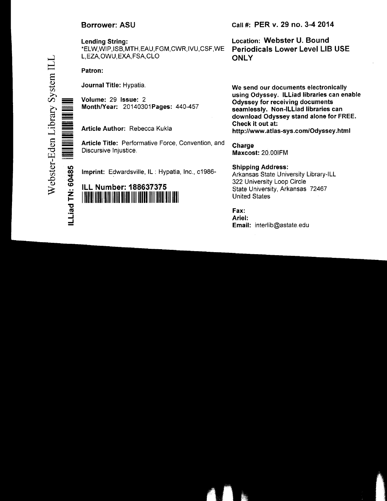60485

**ILLiad TN:** 

### **Borrower: ASU**

**Lending String:** \*ELW WIP, ISB, MTH, EAU, FGM, CWR, IVU, CSF, WE L.EZA.OWU.EXA.FSA.CLO

Patron:

Journal Title: Hypatia.

Volume: 29 Issue: 2 Month/Year: 20140301Pages: 440-457

Article Author: Rebecca Kukla

Article Title: Performative Force, Convention, and Discursive Injustice.

Imprint: Edwardsville, IL: Hypatia, Inc., c1986-

## **ILL Number: 188637375** <u>Hall Hall and Hall Hall Hall Hall Hall</u>

Call #: PER v. 29 no. 3-4 2014

Location: Webster U. Bound **Periodicals Lower Level LIB USE ONLY** 

We send our documents electronically using Odyssey. ILLiad libraries can enable **Odyssey for receiving documents** seamlessly. Non-ILLiad libraries can download Odyssey stand alone for FREE. Check it out at: http://www.atlas-sys.com/Odyssey.html

Charge Maxcost: 20:00IFM

**Shipping Address:** 

Arkansas State University Library-ILL 322 University Loop Circle State University, Arkansas 72467 **United States** 

Fax: Ariel: **Email:** interlib@astate.edu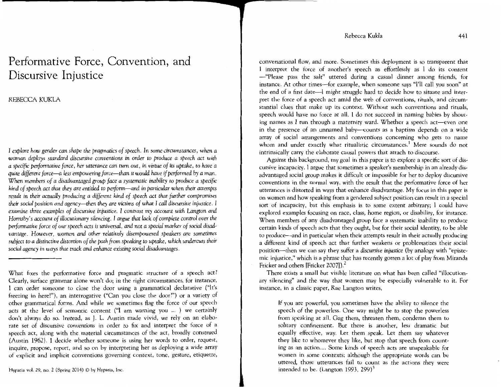Rebecca Kukla **441** 

# **Performative Force, Convention, and Discursive Injustice**

#### REBECCA KUKLA

*I explore how gender can shape the pragmatics of speech. In some circumstances, when a woman deploys standard discursive conventions in order to produce a speech act with a specific perf ormative force, her utterance can tum out,* in *virtue of its uptake, to have a quite different force—a less empowering force—than it would have if performed by a man. When members of a disadvantaged group face a systematic inability to produce a specific kind of speech act that they are entitled to perform-and in particular when their attempts result* in *their actuaUy producing a different kind of speech act that further compromises their social position and agency-then they are victims of what I caU discursive injustice. 1 examine three examples of discursive injustice. I contrast my account with Langton and Hornsby's account of illocutionary silencing.* l *argue that lack of complete control over the performative force of our speech acts* is *universal, and not a special marker of social disad*vantage. However, women and other relatively disempowered speakers are sometimes *subject to a distinctive distortion of the path from speaking to uptake, which undercuts their social agency in ways that track and enhance existing social disadvantages.* 

What fixes the performative force and pragmatic structure of a speech act? Clearly, surface grammar alone won't do; in the right circumstances, for instance, I can order someone to close the door using a grammatical declarative ("It's freezing in here!"), an interrogative ("Can you close the door?") or a variety of other grammatical forms. And while we sometimes flag the force of our speech acts at the level of semantic content ("I am warning you ... ) we certainly don't always do so. Instead, as J. L. Austin made vivid, we rely on an elaborate set of discursive *conventions* in order to fix and interpret the force of a speech act, along with the material circumstances of the act, broadly construed (Austin 1962). I decide whether someone is using her words to order, request, inquire, propose, report, and so on by interpreting her as deploying a wide array of explicit and implicit conventions governing context, tone, gesture, etiquette,

conversational flow, and more. Sometimes this deployment is so transparent that I interpret the force of another's speech as effortlessly as l do its content -"Please pass the salt" uttered during a casual dinner among friends, for instance. At other times-for example, when someone says "I'll call you soon" at the end of a first date-I might struggle hard to decide how to situate and interpret the force of a speech act amid the web of conventions, rituals, and circumstantial clues that make up its context. Without such conventions and rituals, speech would have no force at all. l do not succeed in naming babies by shouting names as I run through a maternity ward. Whether a speech act-even one in the presence of an unnamed baby--counts as a baptism depends on a wide array of social arrangements and conventions concerning who gets to name whom and under exactly what ritualistic circumstances.<sup>1</sup> Mere sounds do not intrinsically carry the elaborate causal powers that attach to discourse.

Against this background, my goal in this paper is to explore a specific sort of discursive incapacity. l argue that sometimes a speaker's membership in an already disadvantaged social group makes it difficult or impossible for her to deploy discursive conventions in the normal way, with the result that the performative force of her utterances is distorted in ways that enhance disadvantage. My focus in this paper is on women and how speaking from a gendered subject position can result in a special sort of incapacity, but this emphasis is to some extent arbitrary; l could have explored examples focusing on race, class, home region, or disability, for instance. When members of any disadvantaged group face a systematic inability to produce certain kinds of speech acts that they ought, but for their social identity, to be able to produce-and in particular when their attempts result in their actually producing a different kind of speech act that further weakens or problematizes their social position-then we can say they suffer a *discursive injustice* (by analogy with "epistemic injustice," which is a phrase that has recently gotten a lot of play from Miranda Fricker and others [Fricker 2007]).<sup>2</sup>

There exists a small but visible literature on what has been called "illocutionary silencing" and the way that women may be especially vulnerable to it. For instance, in a classic paper, Rae Langton writes,

If you are powerful, you sometimes have the ability to silence the speech of the powerless. One way might be to stop the powerless from speaking at all. Gag them, threaten them, condemn them to solitary confinement. But there is another, less dramatic but equally effective, way. Let them speak. Let them say whatever they like to whomever they like, but stop that speech from counting as an action.... Some kinds of speech acts are unspeakable for women in some contexts; although the appropriate words can be uttered, those utterances fail to count as the actions they were intended to be. (Langton 1993, 299)<sup>3</sup>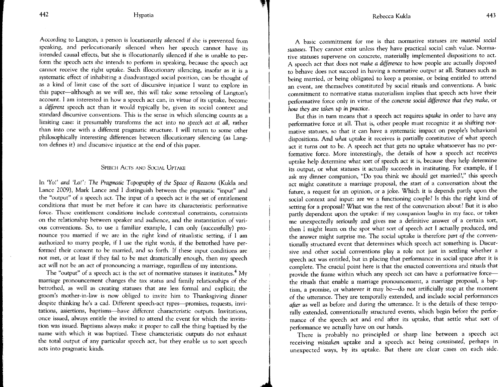According to Langton, a person is locutionarily silenced if she is prevented from speaking, and perlocutionarily silenced when her speech cannot have its intended causal effects, but she is illocutionarily silenced if she is unable to perform the speech acts she intends to perform in speaking, because the speech act cannot receive the right uptake. Such illocutionary silencing, insofar as it is a systematic effect of inhabiting a disadvantaged social position, can be thought of as a kind of limit case of the sort of discursive injustice I want to explore in this paper—although as we will see, this will take some retooling of Langton's account. I am interested in how a speech act can, in virtue of its uptake, become a different speech act than it would typically be, given its social context and standard discursive conventions. This is the sense in which silencing counts as a limiting case: it presumably transforms the act into no speech act at all, rather than into one with a different pragmatic structure. I will return to some other philosophically interesting differences between illocutionary silencing (as Langton defines it) and discursive injustice at the end of this paper.

#### SPEECH ACTS AND SOCIAL UPTAKE

In 'Yo!' and 'Lo!': The Pragmatic Topography of the Space of Reasons (Kukla and Lance 2009), Mark Lance and I distinguish between the pragmatic "input" and the "output" of a speech act. The input of a speech act is the set of entitlement conditions that must be met before it can have its characteristic performative force. These entitlement conditions include contextual constraints, constraints on the relationship between speaker and audience, and the instantiation of various conventions. So, to use a familiar example, I can only (successfully) pronounce you married if we are in the right kind of ritualistic setting, if I am authorized to marry people, if I use the right words, if the betrothed have performed their consent to be married, and so forth. If these input conditions are not met, or at least if they fail to be met dramatically enough, then my speech act will not be an act of pronouncing a marriage, regardless of my intentions.

The "output" of a speech act is the set of normative statuses it institutes.<sup>4</sup> My marriage pronouncement changes the tax status and family relationships of the betrothed, as well as creating statuses that are less formal and explicit; the groom's mother-in-law is now obliged to invite him to Thanksgiving dinner despite thinking he's a cad. Different speech-act types—promises, requests, invitations, assertions, baptisms-have different characteristic outputs. Invitations, once issued, always entitle the invited to attend the event for which the invitation was issued. Baptisms always make it proper to call the thing baptized by the name with which it was baptized. These characteristic outputs do not exhaust the total output of any particular speech act, but they enable us to sort speech acts into pragmatic kinds.

A basic commitment for me is that normative statuses are material social statuses. They cannot exist unless they have practical social cash value. Normative statuses supervene on concrete, materially implemented dispositions to act. A speech act that does not make a difference to how people are actually disposed to behave does not succeed in having a normative output at all. Statuses such as being married, or being obligated to keep a promise, or being entitled to attend an event, are themselves constituted by social rituals and conventions. A basic commitment to normative status materialism implies that speech acts have their performative force only in virtue of the concrete social difference that they make, or how they are taken up in practice.

But this in turn means that a speech act requires uptake in order to have any performative force at all. That is, other people must recognize it as shifting normative statuses, so that it can have a systematic impact on people's behavioral dispositions. And what uptake it receives is partially constitutive of what speech act it turns out to be. A speech act that gets no uptake whatsoever has no performative force. More interestingly, the details of how a speech act receives uptake help determine what sort of speech act it is, because they help determine its output, or what statuses it actually succeeds in instituting. For example, if I ask my dinner companion, "Do you think we should get married?," this speech act might constitute a marriage proposal, the start of a conversation about the future, a request for an opinion, or a joke. Which it is depends partly upon the social context and input: are we a functioning couple? Is this the right kind of setting for a proposal? What was the rest of the conversation about? But it is also partly dependent upon the uptake: if my companion laughs in my face, or takes me unexpectedly seriously and gives me a definitive answer of a certain sort, then I might learn on the spot what sort of speech act I actually produced, and the answer might surprise me. The social uptake is therefore part of the conventionally structured event that determines which speech act something is. Discursive and other social conventions play a role not just in settling whether a speech act was entitled, but in placing that performance in social space after it is complete. The crucial point here is that the enacted conventions and rituals that provide the frame within which any speech act can have a performative forcethe rituals that enable a marriage pronouncement, a marriage proposal, a baptism, a promise, or whatever it may be-do not artificially stop at the moment of the utterance. They are temporally extended, and include social performances after as well as before and during the utterance. It is the details of these temporally extended, conventionally structured events, which begin before the performance of the speech act and end after its uptake, that settle what sort of performance we actually have on our hands.

There is probably no principled or sharp line between a speech act receiving mistaken uptake and a speech act being constituted, perhaps in unexpected ways, by its uptake. But there are clear cases on each side.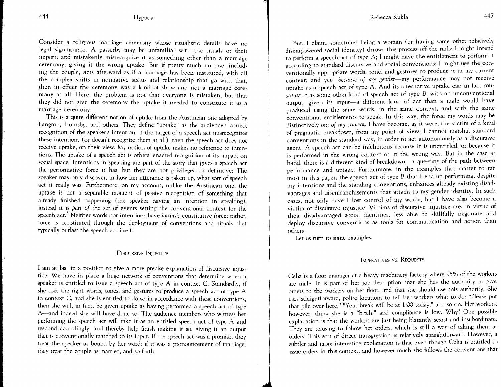Consider a religious marriage ceremony whose ritualistic details have no legal significance. A passerby may be unfamiliar with the rituals or their import, and mistakenly misrecognize it as something other than a marriage ceremony, giving it the wrong uptake. But if pretty much no one, including the couple, acts afterward as if a marriage has been instituted, with all the complex shifts in normative status and relationship that go with that. then in effect the ceremony was a kind of show and not a marriage ceremony at all. Here, the problem is not that everyone is mistaken, but that they did not give the ceremony the uptake it needed to constitute it as a marriage ceremony.

This is a quite different notion of uptake from the Austinean one adopted by Langton, Hornsby, and others. They define "uptake" as the audience's correct recognition of the speaker's intention. If the target of a speech act misrecognizes these intentions (or doesn't recognize them at all), then the speech act does not receive uptake, on their view. My notion of uptake makes no reference to intentions. The uptake of a speech act is others' enacted recognition of its impact on social space. Intentions in speaking are part of the story that gives a speech act the performative force it has, but they are not privileged or definitive; The speaker may only discover, in how her utterance is taken up, what sort of speech act it really was. Furthermore, on my account, unlike the Austinean one, the uptake is not a separable moment of passive recognition of something that already finished happening (the speaker having an intention in speaking); instead it is part of the set of events setting the conventional context for the speech act.<sup>5</sup> Neither words nor intentions have *intrinsic* constitutive force; rather, force is constituted through the deployment of conventions and rituals that typically outlast the speech act itself.

#### **DISCURSIVE INJUSTICE**

I am at last in a position to give a more precise explanation of discursive injustice. We have in place a huge network of conventions that determine when a speaker is entitled to issue a speech act of type A in context C. Standardly, if she uses the right words, tones, and gestures to produce a speech act of type A in context C, and she is entitled to do so in accordance with these conventions. then she will, in fact, be given uptake as having performed a speech act of type A-and indeed she will have done so. The audience members who witness her performing the speech act will take it as an entitled speech act of type A and respond accordingly, and thereby help finish making it so, giving it an output that is conventionally matched to its input. If the speech act was a promise, they treat the speaker as bound by her word; if it was a pronouncement of marriage. they treat the couple as married, and so forth.

But, I claim, sometimes being a woman (or having some other relatively disempowered social identity) throws this process off the rails: I might intend to perform a speech act of type A; I might have the entitlement to perform it according to standard discursive and social conventions; I might use the conventionally appropriate words, tone, and gestures to produce it in my current context; and yet-because of my gender-my performance may not receive uptake as a speech act of type A. And its alternative uptake can in fact constitute it as some other kind of speech act of type B, with an unconventional output, given its input-a different kind of act than a male would have produced using the same words, in the same context, and with the same conventional entitlements to speak. In this way, the force my words may be distinctively out of my control. I have become, as it were, the victim of a kind of pragmatic breakdown, from my point of view; I cannot marshal standard conventions in the standard way, in order to act autonomously as a discursive agent. A speech act can be infelicitous because it is unentitled, or because it is performed in the wrong context or in the wrong way. But in the case at hand, there is a different kind of breakdown-a queering of the path between performance and uptake. Furthermore, in the examples that matter to me most in this paper, the speech act of type B that I end up performing, despite my intentions and the standing conventions, enhances already existing disadvantages and disenfranchisements that attach to my gender identity. In such cases, not only have I lost control of my words, but I have also become a victim of discursive injustice. Victims of discursive injustice are, in virtue of their disadvantaged social identities, less able to skillfully negotiate and deploy discursive conventions as tools for communication and action than others.

Let us turn to some examples.

#### IMPERATIVES VS. REQUESTS

Celia is a floor manager at a heavy machinery factory where 95% of the workers are male. It is part of her job description that she has the authority to give orders to the workers on her floor, and that she should use this authority. She uses straightforward, polite locutions to tell her workers what to do: "Please put that pile over here," "Your break will be at 1:00 today," and so on. Her workers, however, think she is a "bitch," and compliance is low. Why? One possible explanation is that the workers are just being blatantly sexist and insubordinate. They are refusing to follow her orders, which is still a way of taking them as orders. This sort of direct transgression is relatively straightforward. However, a subtler and more interesting explanation is that even though Celia is entitled to issue orders in this context, and however much she follows the conventions that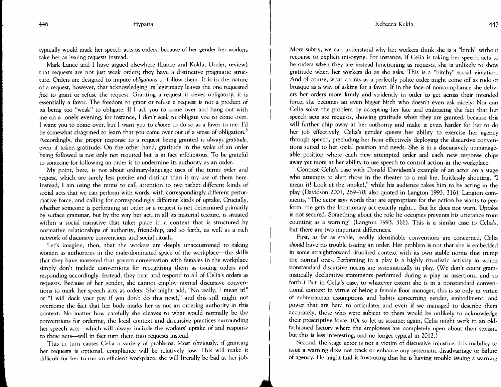typically would mark her speech acts as orders, because of her gender her workers take her as issuing requests instead.

Mark Lance and I have argued elsewhere (Lance and Kukla, Under, review) that requests are not just weak orders; they have a distinctive pragmatic structure. Orders are designed to impute obligations to follow them. It is in the nature of a request, however, that acknowledging its legitimacy leaves the one requested free to grant or refuse the request. Granting a request is never obligatory; it is essentially a favor. The freedom to grant or refuse a request is not a product of its being too "weak" to obligate. If I ask you to come over and hang out with me on a lonely evening, for instance, I don't seek to obligate you to come over. I want you to come over, but I want you to choose to do so as a favor to me. I'd be somewhat chagrined to learn that you came over out of a sense of obligation.<sup>6</sup> Accordingly, the proper response to a request being granted is always gratitude, even if token gratitude. On the other hand, gratitude in the wake of an order being followed is not only not required but is in fact infelicitous. To be grateful to someone for following an order is to undermine its authority as an order.

My point, here, is not about ordinary-language uses of the terms order and request, which are surely less precise and distinct than is my use of them here. Instead, I am using the terms to call attention to two rather different kinds of social acts that we can perform with words, with correspondingly different performative force, and calling for correspondingly different kinds of uptake. Crucially, whether someone is performing an order or a request is not determined primarily by surface grammar, but by the way her act, in all its material texture, is situated within a social narrative that takes place in a context that is structured by normative relationships of authority, friendship, and so forth, as well as a rich network of discursive conventions and social rituals.

Let's imagine, then, that the workers are deeply unaccustomed to taking women as authorities in the male-dominated space of the workplace—the skills that they have mastered that govern conversation with females in the workplace simply don't include conventions for recognizing them as issuing orders and responding accordingly. Instead, they hear and respond to all of Celia's orders as requests. Because of her gender, she cannot employ normal discursive conventions to mark her speech acts as orders. She might add, "No really, I mean it!" or "I will dock your pay if you don't do this now!," and this still might not overcome the fact that her body marks her as not an ordering authority in this context. No matter how carefully she cleaves to what would normally be the conventions for ordering, the local context and discursive practices surrounding her speech acts-which will always include the workers' uptake of and response to these acts-will in fact turn them into requests instead.

This in turn causes Celia a variety of problems. Most obviously, if granting her requests is optional, compliance will be relatively low. This will make it difficult for her to run an efficient workplace; she will literally be bad at her job. More subtly, we can understand why her workers think she is a "bitch" without recourse to explicit misogyny. For instance, if Celia is taking her speech acts to be orders when they are instead functioning as requests, she is unlikely to show gratitude when her workers do as she asks. This is a "bitchy" social violation. And of course, what counts as a perfectly polite order might come off as rude or brusque as a way of asking for a favor. If in the face of noncompliance she delivers her orders more firmly and stridently in order to get across their intended force, she becomes an even bigger bitch who doesn't even ask nicely. Nor can Celia solve the problem by accepting her fate and embracing the fact that her speech acts are requests, showing gratitude when they are granted, because this will further chip away at her authority and make it even harder for her to do her job effectively. Celia's gender queers her ability to exercise her agency through speech, precluding her from effectively deploying the discursive conventions suited to her social position and needs. She is in a discursively unmanageable position where each new attempted order and each new response chips away yet more at her ability to use speech to control action in the workplace.

Contrast Celia's case with Donald Davidson's example of an actor on a stage who attempts to alert those in the theater to a real fire, fruitlessly shouting, "I mean it! Look at the smoke!," while his audience takes him to be acting in the play (Davidson 2001, 269-70; also quoted in Langton 1993, 316). Langton comments, "The actor says words that are appropriate for the action he wants to perform. He gets the locutionary act exactly right.... But he does not warn. Uptake is not secured. Something about the role he occupies prevents his utterance from counting as a warning" (Langton 1993, 316). This is a similar case to Celia's, but there are two important differences.

First, as far as stable, readily identifiable conventions are concerned, Celia should have no trouble issuing an order. Her problem is not that she is embedded in some straightforward ritualized context with its own stable norms that trump the normal ones. Performing in a play is a highly ritualistic activity in which nonstandard discursive norms are systematically in play. (We don't count grammatically declarative statements performed during a play as assertions, and so forth.) But in Celia's case, to whatever extent she is in a nonstandard conventional context in virtue of being a female floor manager, this is so only in virtue of subterranean assumptions and habits concerning gender, embodiment, and power that are hard to articulate; and even if we managed to describe them accurately, those who were subject to them would be unlikely to acknowledge their prescriptive force. (Or so let us assume; again, Celia might work in an oldfashioned factory where the employees are completely open about their sexism. but this is less interesting, and no longer typical in 2012.)

Second, the stage actor is not a victim of discursive injustice. His inability to issue a warning does not track or enhance any systematic disadvantage or failure of agency. He might find it frustrating that he is having trouble issuing a warning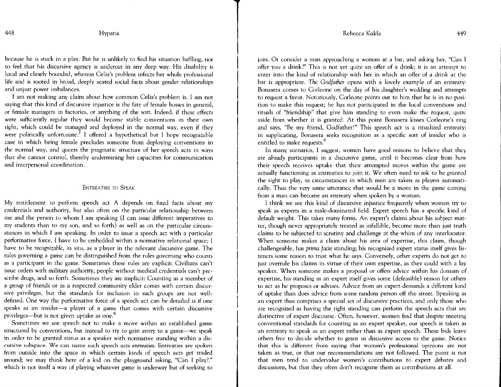because he is stuck in a play. But he is unlikely to find his situation baffling, nor to feel that his discursive agency is undercut in any deep way. His disability is local and clearly hounded, whereas Celia's problem infects her whole professional life and is rooted in broad, deeply seated social facts about gender relationships and unjust power imbalances.

I am not making any claim about how common Celia's problem is. I am not saying that this kind of discursive injustice is the fate of female bosses in general, or female managers in factories, or anything of the sort. Indeed, if these effects were sufficiently regular they would become stable conventions in their own right, which could be managed and deployed in the normal way, even if they were politically unfortunate.<sup>7</sup> I offered a hypothetical but 1 hope recognizable case in which being female precludes someone from deploying conventions in the normal way, and queers the pragmatic structure of her speech acts in ways that she cannot control, thereby undermining her capacities for communication and interpersonal coordination.

#### ENTREATIES TO SPEAK

My entitlement to perform speech act A depends on fixed facts about my credentials and authority, but also often on the particular relationship between me and the person to whom I am speaking (I can issue different imperatives to my students than to my son, and so forth) as well as on the particular circumstances in which I am speaking. In order to issue a speech act with a particular performative force, I have to be embedded within a normative relational space; I have to be *recognizable,* in situ, as a player in the relevant discursive game. The rules governing a game can be distinguished from the rules governing who counts as a participant in the game. Sometimes these rules are explicit: Civilians can't issue orders with military authority, people without medical credentials can't prescribe drugs, and so forth. Sometimes they are implicit: Counting as a member of a group of friends or as a respected community elder comes with certain discursive privileges, but the standards for inclusion in such groups are not welldefined. One way the performative force of a speech act can be derailed is if one speaks as an insider-a player of a game that comes with certain discursive privileges—but is not given uptake as one.<sup>8</sup>

Sometimes we use speech not to make a move within an established game structured by conventions, but instead to try to gain entry to a game-we speak in order to be granted status as a speaker with normative standing within a discursive subspace. We can name such speech acts *entreaties.* Entreaties are spoken from outside into the space in which certain kinds of speech acts get traded around; we may think here of a kid on the playground asking, "Can I play?," which is not itself a way of playing whatever game is underway but of seeking to

join. Or consider a man approaching a woman at a bar, and asking her, "Can I offer you a drink?" This is not yet quite an offer of a drink; it is an attempt to enter into the kind of relationship with her in which an offer of a drink at the bar is appropriate. *The Godfather* opens with a lovely example of an entreaty: Bonasera comes to Corleone on the day of his daughter's wedding and attempts to request a favor. Notoriously, Corleone points out to him that he is in no position to make this request; he has not participated in the local conventions and rituals of "friendship" that give him standing to even make the request, quite aside from whether it is granted. At this point Bonasera kisses Corleone's ring and says, "Be my friend, Godfather!" This speech act is a ritualized entreaty; in supplicating, Bonasera seeks recognition as a specific sort of insider who is entitled to make requests.<sup>9</sup>

In many scenarios, I suggest, women have good reasons to believe that they are *already* participants in a discursive game, until it becomes clear from how their speech receives uptake that their attempted moves within the game are actually functioning as entreaties to join it. We often need to ask to be granted the right to play, in circumstances in which men are taken as players automatically. Thus the very same utterance that would be a move in the game coming from a man can become an entreaty when spoken by a woman.

I think we see this kind of discursive injustice frequently when women try to speak as experts in a male-dominated field. Expert speech has a specific kind of default weight. This takes many forms. An expert's claims about his subject matter, though never appropriately treated as infallible, become more than just truth claims to be subjected to scrutiny and challenge at the whim of any interlocutor. When someone makes a claim about his area of expertise, this claim, though challengeable, has *prima facie* standing; his recognized expert status itself gives listeners some reason to trust what he says. Conversely, other experts do not get to just overrule his claims in virtue of their own expertise, as they could with a lay speaker. When someone makes a proposal or offers advice within his domain of expertise, his standing as an expert itself gives some (defeasible) reason for others to act as he proposes or advises. Advice from an expert demands a different kind of uptake than does advice from some random person off the street. Speaking as an expert thus comprises a special set of discursive practices, and only those who are recognized as having the right standing can perform the speech acts that are distinctive of expert discourse. Often, however, women find that despite meeting conventional standards for counting as an expert speaker, our speech is taken as an entreaty to speak as an expert rather than as expert speech. These bids leave others free to decide whether to grant us discursive access to the game. Notice that this is different from saying that women's professional opinions are not taken as true, or that our recommendations are not followed. The point is not that men tend to undervalue women's contributions to expert debates and discussions, but that they often don't recognize them as contributions at all.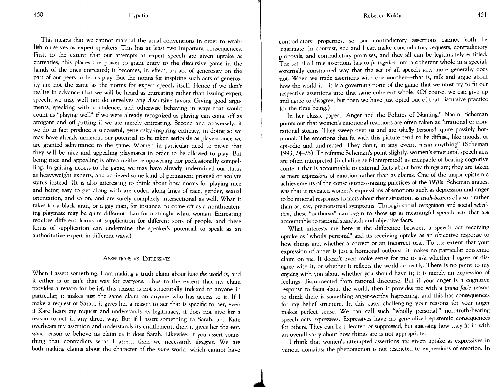This means that we cannot marshal the usual conventions in order to establish ourselves as expert speakers. This has at least two important consequences. First, to the extent that our attempts at expert speech are given uptake as entreaties, this places the power to grant entry to the discursive game in the hands of the ones entreated; it becomes, in effect, an act of generosity on the part of our peers to let us play. But the norms for inspiring such acts of generosity are not the same as the norms for expert speech itself. Hence if we don't realize in advance that we will be heard as entreating rather than issuing expert speech, we may well not do ourselves any discursive favors. Giving good arguments, speaking with confidence, and otherwise behaving in ways that would count as "playing well" if we were already recognized as playing can come off as arrogant and off-putting if we are merely entreating. Second and conversely, if we do in fact produce a successful, generosity-inspiring entreaty, in doing so we may have already undercut our potential to be taken seriously as players once we are granted admittance to the game. Women in particular need to prove that they will be nice and appealing playmates in order to be allowed to play. But being nice and appealing is often neither empowering nor professionally compelling. In gaining access to the game, we may have already undermined our status as heavyweight experts, and achieved some kind of permanent protégé or acolvte status instead. (It is also interesting to think about how norms for playing nice and being easy to get along with are coded along lines of race, gender, sexual orientation, and so on, and are surely complexly intersectional as well. What it takes for a black man, or a gay man, for instance, to come off as a nonthreatening playmate may be quite different than for a straight white woman. Entreating requires different forms of supplication for different sorts of people, and these forms of supplication can undermine the speaker's potential to speak as an authoritative expert in different ways.)

#### **ASSERTIONS VS. EXPRESSIVES**

When I assert something, I am making a truth claim about how the world is, and it either is or isn't that way for everyone. Thus to the extent that my claim provides a reason for belief, this reason is not structurally indexed to anyone in particular; it makes just the same claim on anyone who has access to it. If I make a request of Sarah, it gives her a reason to act that is specific to her; even if Kate hears my request and understands its legitimacy, it does not give her a reason to act in any direct way. But if I assert something to Sarah, and Kate overhears my assertion and understands its entitlement, then it gives her the very same reason to believe its claim as it does Sarah. Likewise, if you assert something that contradicts what I assert, then we necessarily disagree. We are both making claims about the character of the same world, which cannot have

contradictory properties, so our contradictory assertions cannot both be legitimate. In contrast, you and I can make contradictory requests, contradictory proposals, and contradictory promises, and they all can be legitimately entitled. The set of all true assertions has to fit together into a coherent whole in a special, externally constrained way that the set of all speech acts more generally does not. When we trade assertions with one another-that is, talk and argue about how the world is-it is a governing norm of the game that we must try to fit our respective assertions into that same coherent whole. (Of course, we can give up and agree to disagree, but then we have just opted out of that discursive practice for the time being.)

In her classic paper, "Anger and the Politics of Naming," Naomi Scheman points out that women's emotional reactions are often taken as "irrational or nonrational storms. They sweep over us and are wholly personal, quite possibly hormonal. The emotions that fit with this picture tend to be diffuse, like moods, or episodic and undirected. They don't, in any event, mean anything" (Scheman 1993, 24-25). To reframe Scheman's point slightly, women's emotional speech acts are often interpreted (including self-interpreted) as incapable of bearing cognitive content that is accountable to external facts about how things are; they are taken as mere expressions of emotion rather than as claims. One of the major epistemic achievements of the consciousness-raising practices of the 1970s, Scheman argues, was that it revealed women's expressions of emotions such as depression and anger to be rational responses to facts about their situation, as truth-bearers of a sort rather than as, say, premenstrual symptoms. Through social recognition and social rebetition, these "outbursts" can begin to show up as meaningful speech acts that are accountable to rational standards and objective facts.

What interests me here is the difference between a speech act receiving uptake as "wholly personal" and its receiving uptake as an objective response to how things are, whether a correct or an incorrect one. To the extent that your expression of anger is just a hormonal outburst, it makes no particular epistemic claim on me. It doesn't even make sense for me to ask whether I agree or disagree with it, or whether it reflects the world correctly. There is no point to my arguing with you about whether you should have it; it is merely an expression of feelings, disconnected from rational discourse. But if your anger is a cognitive response to facts about the world, then it provides me with a prima facie reason to think there is something anger-worthy happening, and this has consequences for my belief structure. In this case, challenging your reasons for your anger makes perfect sense. We can call such "wholly personal," non-truth-bearing speech acts expressives. Expressives have no generalized epistemic consequences for others. They can be tolerated or suppressed, but assessing how they fit in with an overall story about how things are is not appropriate.

I think that women's attempted assertions are given uptake as expressives in various domains; the phenomenon is not restricted to expressions of emotion. In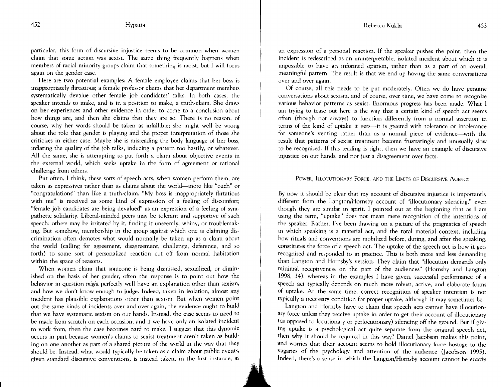453

particular, this form of discursive injustice seems to be common when women claim that some action was sexist. The same thing frequently happens when members of racial minority groups claim that something is racist, but I will focus again on the gender case.

Here are two potential examples: A female employee claims that her boss is inappropriately flirtatious; a female professor claims that her department members systematically devalue other female job candidates' talks. In both cases, the speaker intends to make, and is in a position to make, a truth-claim. She draws on her experiences and other evidence in order to come to a conclusion about how things are, and then she claims that they are so. There is no reason, of course, why her words should be taken as infallible; she might well be wrong about the role that gender is playing and the proper interpretation of those she criticizes in either case. Maybe she is misreading the body language of her boss, inflating the quality of the job talks, inducing a pattern too hastily, or whatever. All the same, she is attempting to put forth a claim about objective events in the external world, which seeks uptake in the form of agreement or rational challenge from others.

But often, I think, these sorts of speech acts, when women perform them, are taken as expressives rather than as claims about the world—more like "ouch" or "congratulations" than like a truth-claim. "My boss is inappropriately flirtatious with me" is received as some kind of expression of a feeling of discomfort; "female job candidates are being devalued" as an expression of a feeling of sympathetic solidarity. Liberal-minded peers may be tolerant and supportive of such speech; others may be irritated by it, finding it unseemly, whiny, or troublemaking. But somehow, membership in the group against which one is claiming discrimination often demotes what would normally be taken up as a claim about the world (calling for agreement, disagreement, challenge, deference, and so forth) to some sort of personalized reaction cut off from normal habitation within the space of reasons.

When women claim that someone is being dismissed, sexualized, or diminished on the basis of her gender, often the response is to point out how the behavior in question might perfectly well have an explanation other than sexism, and how we don't know enough to judge. Indeed, taken in isolation, almost any incident has plausible explanations other than sexism. But when women point out the same kinds of incidents over and over again, the evidence ought to build that we have systematic sexism on our hands. Instead, the case seems to need to be made from scratch on each occasion; and if we have only an isolated incident to work from, then the case becomes hard to make. I suggest that this dynamic occurs in part because women's claims to sexist treatment aren't taken as building on one another as part of a shared picture of the world in the way that they should be. Instead, what would typically be taken as a claim about public events, given standard discursive conventions, is instead taken, in the first instance, as an expression of a personal reaction. If the speaker pushes the point, then the incident is redescribed as an uninterpretable, isolated incident about which it is impossible to have an informed opinion, rather than as a part of an overall meaningful pattern. The result is that we end up having the same conversations over and over again.

Of course, all this needs to be put moderately. Often we do have genuine conversations about sexism, and of course, over time, we have come to recognize various behavior patterns as sexist. Enormous progress has been made. What I am trying to tease out here is the way that a certain kind of speech act seems often (though not always) to function differently from a normal assertion in terms of the kind of uptake it gets-it is greeted with tolerance or intolerance for someone's venting rather than as a normal piece of evidence—with the result that patterns of sexist treatment become frustratingly and unusually slow to be recognized. If this reading is right, then we have an example of discursive injustice on our hands, and not just a disagreement over facts.

#### POWER, ILLOCUTIONARY FORCE, AND THE LIMITS OF DISCURSIVE AGENCY

By now it should be clear that my account of discursive injustice is importantly different from the Langton/Hornsby account of "illocutionary silencing," even though they are similar in spirit. I pointed out at the beginning that as I am using the term, "uptake" does not mean mere recognition of the intentions of the speaker. Rather, I've been drawing on a picture of the pragmatics of speech in which speaking is a material act, and the total material context, including how rituals and conventions are mobilized before, during, and after the speaking, constitutes the force of a speech act. The uptake of the speech act is how it gets recognized and responded to in practice. This is both more and less demanding than Langton and Hornsby's version. They claim that "illocution demands only minimal receptiveness on the part of the audiences" (Hornsby and Langton 1998, 34), whereas in the examples I have given, successful performance of a speech act typically depends on much more robust, active, and elaborate forms of uptake. At the same time, correct recognition of speaker intention is not typically a necessary condition for proper uptake, although it may sometimes be.

Langton and Hornsby have to claim that speech acts cannot have illocutionary force unless they receive uptake in order to get their account of illocutionary (as opposed to locutionary or perlocutionary) silencing off the ground. But if giving uptake is a psychological act quite separate from the original speech act. then why it should be required in this way? Daniel Jacobson makes this point. and worries that their account seems to hold illocutionary force hostage to the vagaries of the psychology and attention of the audience (Jacobson 1995). Indeed, there's a sense in which the Langton/Hornsby account cannot be exactly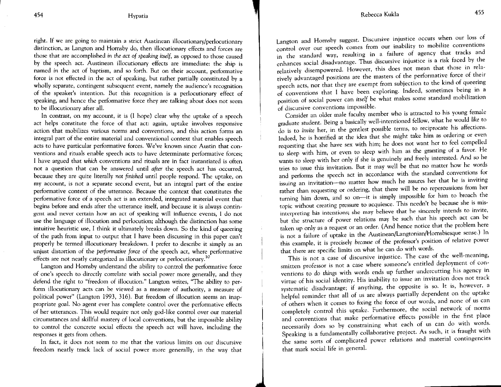right. If we are going to maintain a strict Austinean illocutionary/perlocutionary distinction, as Langton and Hornsby do, then illocutionary effects and forces are those that are accomplished in the act of speaking itself, as opposed to those caused by the speech act. Austinean illocutionary effects are immediate: the ship is named in the act of baptism, and so forth. But on their account, performative force is not effected in the act of speaking, but rather partially constituted by a wholly separate, contingent subsequent event, namely the audience's recognition of the speaker's intention. But this recognition is a perlocutionary effect of speaking, and hence the performative force they are talking about does not seem to be illocutionary after all.

In contrast, on my account, it is (I hope) clear why the uptake of a speech act helps constitute the force of that act: again, uptake involves responsive action that mobilizes various norms and conventions, and this action forms an integral part of the entire material and conventional context that enables speech acts to have particular performative forces. We've known since Austin that conventions and rituals enable speech acts to have determinate performative forces; I have argued that which conventions and rituals are in fact instantiated is often not a question that can be answered until after the speech act has occurred, because they are quite literally not finished until people respond. The uptake, on my account, is not a separate second event, but an integral part of the entire performative context of the utterance. Because the context that constitutes the performative force of a speech act is an extended, integrated material event that begins before and ends after the utterance itself, and because it is always contingent and never certain how an act of speaking will influence events. I do not use the language of illocution and perlocution; although the distinction has some intuitive heuristic use, I think it ultimately breaks down. So the kind of queering of the path from input to output that I have been discussing in this paper can't properly be termed illocutionary breakdown. I prefer to describe it simply as an unjust distortion of the performative force of the speech act, where performative effects are not neatly categorized as illocutionary or perlocutionary.<sup>10</sup>

Langton and Hornsby understand the ability to control the performative force of one's speech to directly correlate with social power more generally, and they defend the right to "freedom of illocution." Langton writes, "The ability to perform illocutionary acts can be viewed as a measure of authority, a measure of political power" (Langton 1993, 316). But freedom of illocution seems an inappropriate goal. No agent ever has complete control over the performative effects of her utterances. This would require not only god-like control over our material circumstances and skillful mastery of local conventions, but the impossible ability to control the concrete social effects the speech act will have, including the responses it gets from others.

In fact, it does not seem to me that the various limits on our discursive freedom neatly track lack of social power more generally, in the way that Langton and Hornsby suggest. Discursive injustice occurs when our loss of control over our speech comes from our inability to mobilize conventions in the standard way, resulting in a failure of agency that tracks and enhances social disadvantage. Thus discursive injustice is a risk faced by the relatively disempowered. However, this does not mean that those in relatively advantaged positions are the masters of the performative force of their speech acts, nor that they are exempt from subjection to the kind of queering of conventions that I have been exploring. Indeed, sometimes being in a position of social power can itself be what makes some standard mobilization of discursive conventions impossible.

Consider an older male faculty member who is attracted to his young female graduate student. Being a basically well-intentioned fellow, what he would like to do is to invite her, in the gentlest possible terms, to reciprocate his affections. Indeed, he is horrified at the idea that she might take him as ordering or even requesting that she have sex with him; he does not want her to feel compelled to sleep with him, or even to sleep with him as the granting of a favor. He wants to sleep with her only if she is genuinely and freely interested. And so he tries to issue this invitation. But it may well be that no matter how he words and performs the speech act in accordance with the standard conventions for issuing an invitation-no matter how much he assures her that he is inviting rather than requesting or ordering, that there will be no repercussions from her turning him down, and so on-it is simply impossible for him to broach the topic without creating pressure to acquiesce. This needn't be because she is misinterpreting his intentions; she may believe that he sincerely intends to invite, but the structure of power relations may be such that his speech act can be taken up only as a request or an order. (And hence notice that the problem here is not a failure of uptake in the Austinean/Langtonian/Hornsbiesque sense.) In this example, it is precisely because of the professor's position of relative power that there are specific limits on what he can do with words.

This is not a case of discursive injustice. The case of the well-meaning, smitten professor is not a case where someone's entitled deployment of conventions to do things with words ends up further undercutting his agency in virtue of his social identity. His inability to issue an invitation does not track systematic disadvantage; if anything, the opposite is so. It is, however, a helpful reminder that all of us are always partially dependent on the uptake of others when it comes to fixing the force of our words, and none of us can completely control this uptake. Furthermore, the social network of norms and conventions that make performative effects possible in the first place necessarily does so by constraining what each of us can do with words. Speaking is a fundamentally collaborative project. As such, it is fraught with the same sorts of complicated power relations and material contingencies that mark social life in general.